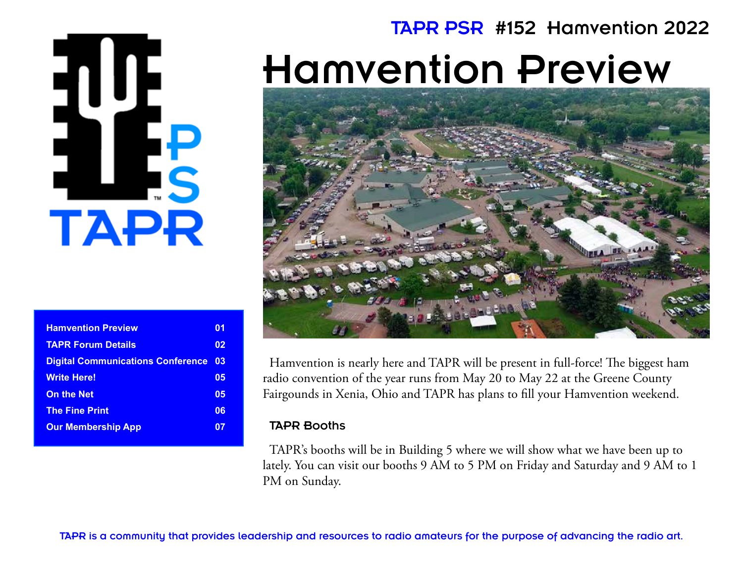# **TAPR**

| <b>Hamvention Preview</b>                | 01 |
|------------------------------------------|----|
| <b>TAPR Forum Details</b>                | 02 |
| <b>Digital Communications Conference</b> | 03 |
| <b>Write Here!</b>                       | 05 |
| <b>On the Net</b>                        | 05 |
| <b>The Fine Print</b>                    | 06 |
| <b>Our Membership App</b>                |    |

### TAPR PSR #152 Hamvention 2022

# Hamvention Preview



Hamvention is nearly here and TAPR will be present in full-force! The biggest ham radio convention of the year runs from May 20 to May 22 at the Greene County Fairgounds in Xenia, Ohio and TAPR has plans to fill your Hamvention weekend.

### TAPR Booths

TAPR's booths will be in Building 5 where we will show what we have been up to lately. You can visit our booths 9 AM to 5 PM on Friday and Saturday and 9 AM to 1 PM on Sunday.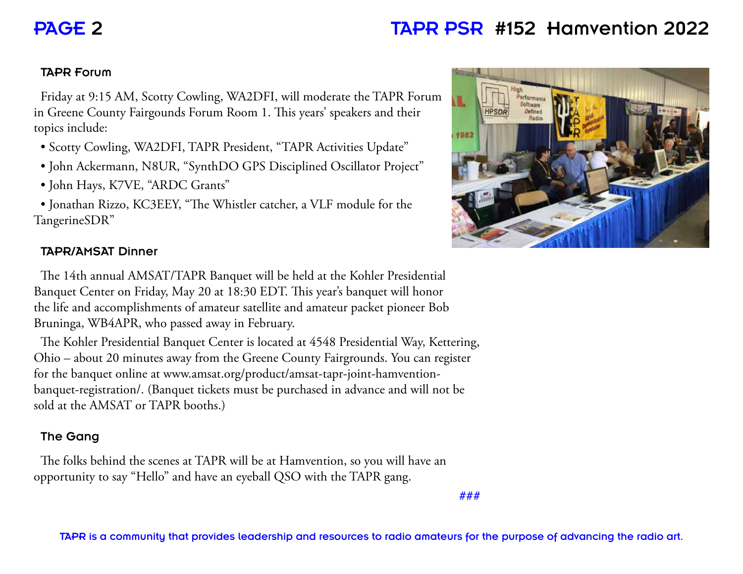### PAGE 2 TAPR PSR #152 Hamvention 2022

### TAPR Forum

Friday at 9:15 AM, Scotty Cowling, WA2DFI, will moderate the TAPR Forum in Greene County Fairgounds Forum Room 1. This years' speakers and their topics include:

- Scotty Cowling, WA2DFI, TAPR President, "TAPR Activities Update"
- John Ackermann, N8UR, "SynthDO GPS Disciplined Oscillator Project"
- John Hays, K7VE, "ARDC Grants"

• Jonathan Rizzo, KC3EEY, "The Whistler catcher, a VLF module for the TangerineSDR"

### TAPR/AMSAT Dinner

The 14th annual AMSAT/TAPR Banquet will be held at the Kohler Presidential Banquet Center on Friday, May 20 at 18:30 EDT. This year's banquet will honor the life and accomplishments of amateur satellite and amateur packet pioneer Bob Bruninga, WB4APR, who passed away in February.

The Kohler Presidential Banquet Center is located at 4548 Presidential Way, Kettering, Ohio – about 20 minutes away from the Greene County Fairgrounds. You can register for the banquet online at www.amsat.org/product/amsat-tapr-joint-hamventionbanquet-registration/. (Banquet tickets must be purchased in advance and will not be sold at the AMSAT or TAPR booths.)

### The Gang

The folks behind the scenes at TAPR will be at Hamvention, so you will have an opportunity to say "Hello" and have an eyeball QSO with the TAPR gang.

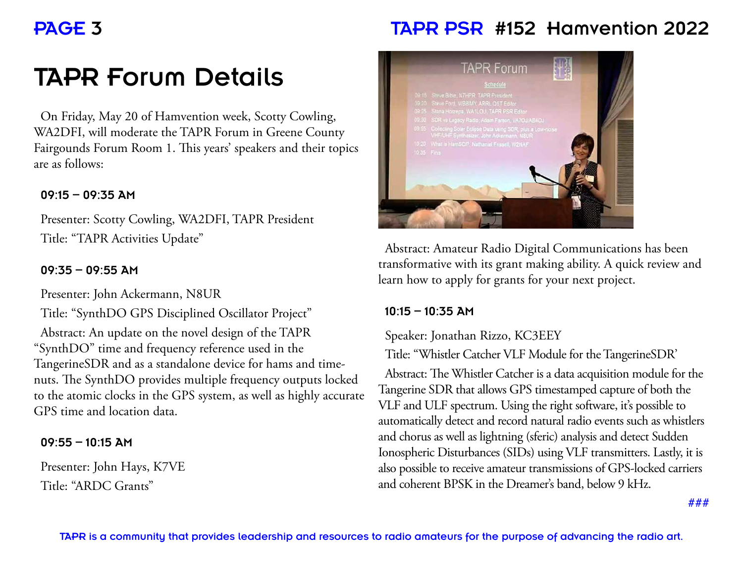### PAGE 3 TAPR PSR #152 Hamvention 2022

### TAPR Forum Details

On Friday, May 20 of Hamvention week, Scotty Cowling, WA2DFI, will moderate the TAPR Forum in Greene County Fairgounds Forum Room 1. This years' speakers and their topics are as follows:

### $09:15 - 09:35$  AM

Presenter: Scotty Cowling, WA2DFI, TAPR President Title: "TAPR Activities Update"

### $09:35 - 09:55$  AM

Presenter: John Ackermann, N8UR

Title: "SynthDO GPS Disciplined Oscillator Project" Abstract: An update on the novel design of the TAPR "SynthDO" time and frequency reference used in the TangerineSDR and as a standalone device for hams and timenuts. The SynthDO provides multiple frequency outputs locked to the atomic clocks in the GPS system, as well as highly accurate GPS time and location data.

### $09:55 - 10:15$  AM

Presenter: John Hays, K7VE Title: "ARDC Grants"



Abstract: Amateur Radio Digital Communications has been transformative with its grant making ability. A quick review and learn how to apply for grants for your next project.

#### $10:15 - 10:35$  AM

Speaker: Jonathan Rizzo, KC3EEY

Title: "Whistler Catcher VLF Module for the TangerineSDR'

Abstract: The Whistler Catcher is a data acquisition module for the Tangerine SDR that allows GPS timestamped capture of both the VLF and ULF spectrum. Using the right software, it's possible to automatically detect and record natural radio events such as whistlers and chorus as well as lightning (sferic) analysis and detect Sudden Ionospheric Disturbances (SIDs) using VLF transmitters. Lastly, it is also possible to receive amateur transmissions of GPS-locked carriers and coherent BPSK in the Dreamer's band, below 9 kHz.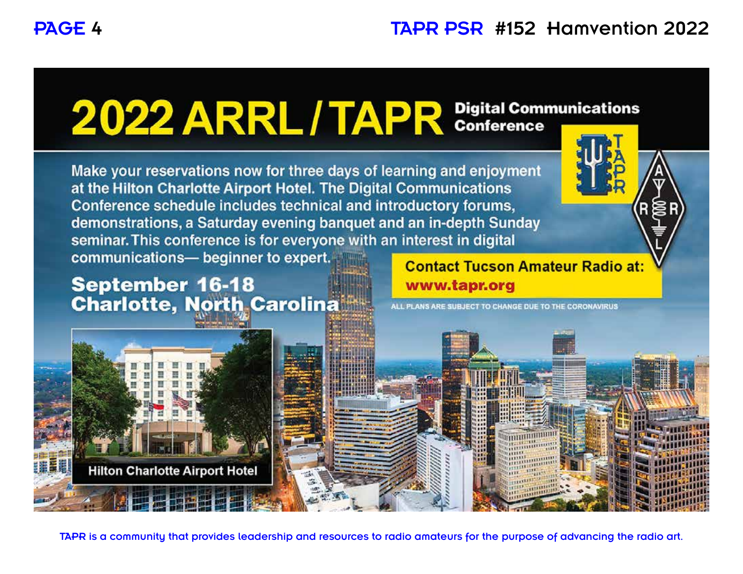# 2022 ARRL / TAPR Digital Communications

Make your reservations now for three days of learning and enjoyment at the Hilton Charlotte Airport Hotel. The Digital Communications Conference schedule includes technical and introductory forums, demonstrations, a Saturday evening banquet and an in-depth Sunday seminar. This conference is for everyone with an interest in digital communications- beginner to expert.

**September 16-18 Charlotte, North Carolina**  **Contact Tucson Amateur Radio at:** www.tapr.org



ALL PLANS ARE SUBJECT TO CHANGE DUE TO THE CORONAVIRUS



TAPR is a community that provides leadership and resources to radio amateurs for the purpose of advancing the radio art.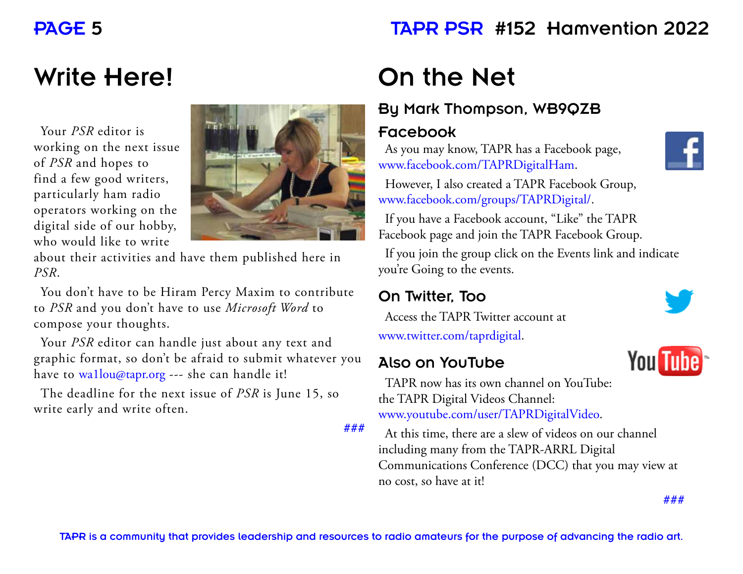### PAGE 5 TAPR PSR #152 Hamvention 2022

### Write Here!

Your *PSR* editor is working on the next issue of *PSR* and hopes to find a few good writers, particularly ham radio operators working on the digital side of our hobby, who would like to write



about their activities and have them published here in *PSR*.

You don't have to be Hiram Percy Maxim to contribute to *PSR* and you don't have to use *Microsoft Word* to compose your thoughts.

Your *PSR* editor can handle just about any text and graphic format, so don't be afraid to submit whatever you have to wa1lou@tapr.org --- she can handle it!

The deadline for the next issue of *PSR* is June 15, so write early and write often.

**###**

### On the Net

### By Mark Thompson, WB9QZB

### Facebook

As you may know, TAPR has a Facebook page, www.facebook.com/TAPRDigitalHam.



However, I also created a TAPR Facebook Group, www.facebook.com/groups/TAPRDigital/.

If you have a Facebook account, "Like" the TAPR Facebook page and join the TAPR Facebook Group.

If you join the group click on the Events link and indicate you're Going to the events.

### On Twitter, Too

Access the TAPR Twitter account at www.twitter.com/taprdigital.

### Also on YouTube



**You Tube** 

TAPR now has its own channel on YouTube: the TAPR Digital Videos Channel: www.youtube.com/user/TAPRDigitalVideo.

At this time, there are a slew of videos on our channel including many from the TAPR-ARRL Digital Communications Conference (DCC) that you may view at no cost, so have at it!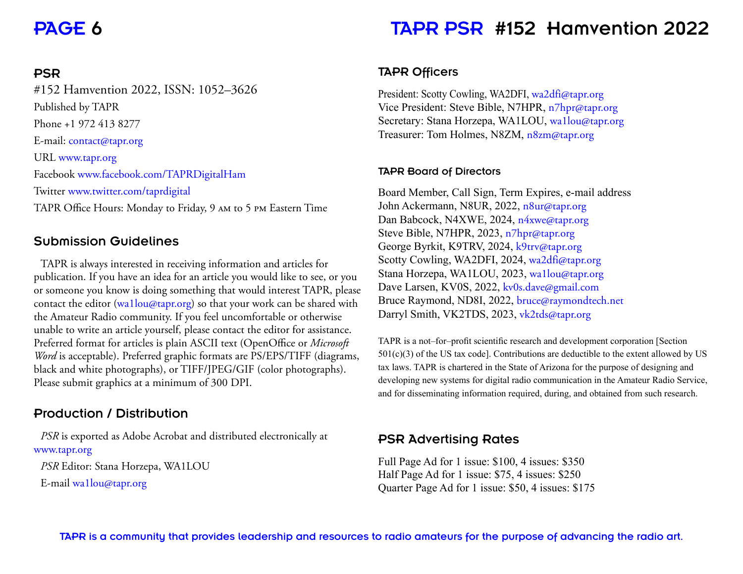### PSR

#152 Hamvention 2022, ISSN: 1052–3626 Published by TAPR Phone +1 972 413 8277 E-mail: contact@tapr.org URL www.tapr.org Facebook www.facebook.com/TAPRDigitalHam Twitter www.twitter.com/taprdigital TAPR Office Hours: Monday to Friday, 9 am to 5 pm Eastern Time

### Submission Guidelines

TAPR is always interested in receiving information and articles for publication. If you have an idea for an article you would like to see, or you or someone you know is doing something that would interest TAPR, please contact the editor (wa1lou@tapr.org) so that your work can be shared with the Amateur Radio community. If you feel uncomfortable or otherwise unable to write an article yourself, please contact the editor for assistance. Preferred format for articles is plain ASCII text (OpenOffice or *Microsoft Word* is acceptable). Preferred graphic formats are PS/EPS/TIFF (diagrams, black and white photographs), or TIFF/JPEG/GIF (color photographs). Please submit graphics at a minimum of 300 DPI.

### Production / Distribution

*PSR* is exported as Adobe Acrobat and distributed electronically at www.tapr.org *PSR* Editor: Stana Horzepa, WA1LOU E-mail wa1lou@tapr.org

### PAGE 6 TAPR PSR #152 Hamvention 2022

### TAPR Officers

President: Scotty Cowling, WA2DFI, wa2dfi@tapr.org Vice President: Steve Bible, N7HPR, n7hpr@tapr.org Secretary: Stana Horzepa, WA1LOU, wa1lou@tapr.org Treasurer: Tom Holmes, N8ZM, n8zm@tapr.org

#### TAPR Board of Directors

Board Member, Call Sign, Term Expires, e-mail address John Ackermann, N8UR, 2022, n8ur@tapr.org Dan Babcock, N4XWE, 2024, n4xwe@tapr.org Steve Bible, N7HPR, 2023, n7hpr@tapr.org George Byrkit, K9TRV, 2024, k9trv@tapr.org Scotty Cowling, WA2DFI, 2024, wa2dfi@tapr.org Stana Horzepa, WA1LOU, 2023, wa1lou@tapr.org Dave Larsen, KV0S, 2022, kv0s.dave@gmail.com Bruce Raymond, ND8I, 2022, bruce@raymondtech.net Darryl Smith, VK2TDS, 2023, vk2tds@tapr.org

TAPR is a not–for–profit scientific research and development corporation [Section  $501(c)(3)$  of the US tax code]. Contributions are deductible to the extent allowed by US tax laws. TAPR is chartered in the State of Arizona for the purpose of designing and developing new systems for digital radio communication in the Amateur Radio Service, and for disseminating information required, during, and obtained from such research.

### PSR Advertising Rates

Full Page Ad for 1 issue: \$100, 4 issues: \$350 Half Page Ad for 1 issue: \$75, 4 issues: \$250 Quarter Page Ad for 1 issue: \$50, 4 issues: \$175